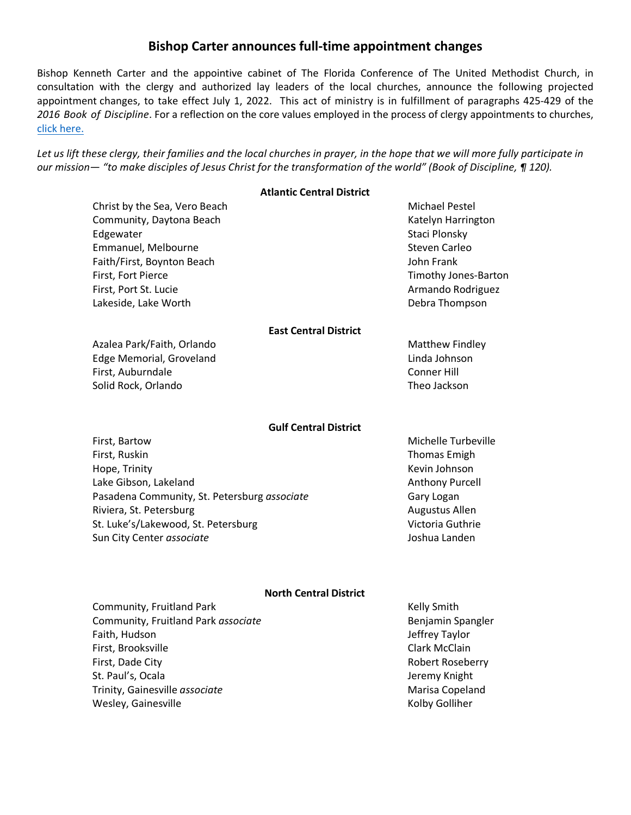# **Bishop Carter announces full-time appointment changes**

Bishop Kenneth Carter and the appointive cabinet of The Florida Conference of The United Methodist Church, in consultation with the clergy and authorized lay leaders of the local churches, announce the following projected appointment changes, to take effect July 1, 2022. This act of ministry is in fulfillment of paragraphs 425-429 of the *2016 Book of Discipline*. For a reflection on the core values employed in the process of clergy appointments to churches, [click here.](https://www.flumc.org/newsdetail/appointment-making-in-a-time-of-mission-2017-7498165)

*Let us lift these clergy, their families and the local churches in prayer, in the hope that we will more fully participate in our mission— "to make disciples of Jesus Christ for the transformation of the world" (Book of Discipline, ¶ 120).*

### **Atlantic Central District**

| Christ by the Sea, Vero Beach                | Michael Pestel         |
|----------------------------------------------|------------------------|
| Community, Daytona Beach                     | Katelyn Harrington     |
| Edgewater                                    | Staci Plonsky          |
| Emmanuel, Melbourne                          | <b>Steven Carleo</b>   |
| Faith/First, Boynton Beach                   | John Frank             |
| First, Fort Pierce                           | Timothy Jones-Barton   |
| First, Port St. Lucie                        | Armando Rodriguez      |
| Lakeside, Lake Worth                         | Debra Thompson         |
| <b>East Central District</b>                 |                        |
| Azalea Park/Faith, Orlando                   | <b>Matthew Findley</b> |
| Edge Memorial, Groveland                     | Linda Johnson          |
| First, Auburndale                            | <b>Conner Hill</b>     |
| Solid Rock, Orlando                          | Theo Jackson           |
| <b>Gulf Central District</b>                 |                        |
| First, Bartow                                | Michelle Turbeville    |
| First, Ruskin                                | <b>Thomas Emigh</b>    |
| Hope, Trinity                                | Kevin Johnson          |
| Lake Gibson, Lakeland                        | <b>Anthony Purcell</b> |
| Pasadena Community, St. Petersburg associate | Gary Logan             |
| Riviera, St. Petersburg                      | Augustus Allen         |
| St. Luke's/Lakewood, St. Petersburg          | Victoria Guthrie       |
| Sun City Center associate                    | Joshua Landen          |
| <b>North Central District</b>                |                        |
| Community, Fruitland Park                    | Kelly Smith            |
| Community, Fruitland Park associate          | Benjamin Spangler      |
| Faith, Hudson                                | Jeffrey Taylor         |
| First, Brooksville                           | <b>Clark McClain</b>   |
| First, Dade City                             | Robert Roseberry       |
| St. Paul's, Ocala                            | Jeremy Knight          |
| Trinity, Gainesville associate               | Marisa Copeland        |
| Wesley, Gainesville                          | Kolby Golliher         |